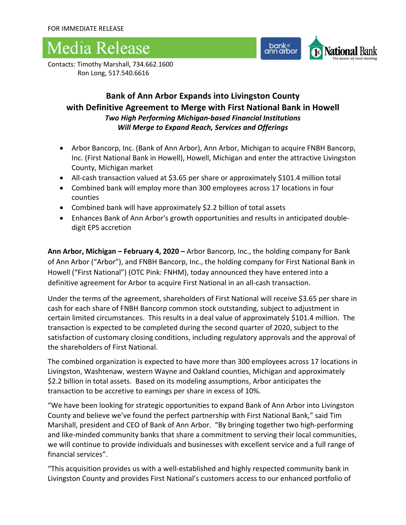### Media Release



Contacts: Timothy Marshall, 734.662.1600 Ron Long, 517.540.6616

### **Bank of Ann Arbor Expands into Livingston County with Definitive Agreement to Merge with First National Bank in Howell** *Two High Performing Michigan-based Financial Institutions Will Merge to Expand Reach, Services and Offerings*

- Arbor Bancorp, Inc. (Bank of Ann Arbor), Ann Arbor, Michigan to acquire FNBH Bancorp, Inc. (First National Bank in Howell), Howell, Michigan and enter the attractive Livingston County, Michigan market
- All-cash transaction valued at \$3.65 per share or approximately \$101.4 million total
- Combined bank will employ more than 300 employees across 17 locations in four counties
- Combined bank will have approximately \$2.2 billion of total assets
- Enhances Bank of Ann Arbor's growth opportunities and results in anticipated doubledigit EPS accretion

**Ann Arbor, Michigan – February 4, 2020 –** Arbor Bancorp, Inc., the holding company for Bank of Ann Arbor ("Arbor"), and FNBH Bancorp, Inc., the holding company for First National Bank in Howell ("First National") (OTC Pink: FNHM), today announced they have entered into a definitive agreement for Arbor to acquire First National in an all-cash transaction.

Under the terms of the agreement, shareholders of First National will receive \$3.65 per share in cash for each share of FNBH Bancorp common stock outstanding, subject to adjustment in certain limited circumstances. This results in a deal value of approximately \$101.4 million. The transaction is expected to be completed during the second quarter of 2020, subject to the satisfaction of customary closing conditions, including regulatory approvals and the approval of the shareholders of First National.

The combined organization is expected to have more than 300 employees across 17 locations in Livingston, Washtenaw, western Wayne and Oakland counties, Michigan and approximately \$2.2 billion in total assets. Based on its modeling assumptions, Arbor anticipates the transaction to be accretive to earnings per share in excess of 10%.

"We have been looking for strategic opportunities to expand Bank of Ann Arbor into Livingston County and believe we've found the perfect partnership with First National Bank," said Tim Marshall, president and CEO of Bank of Ann Arbor. "By bringing together two high-performing and like-minded community banks that share a commitment to serving their local communities, we will continue to provide individuals and businesses with excellent service and a full range of financial services".

"This acquisition provides us with a well-established and highly respected community bank in Livingston County and provides First National's customers access to our enhanced portfolio of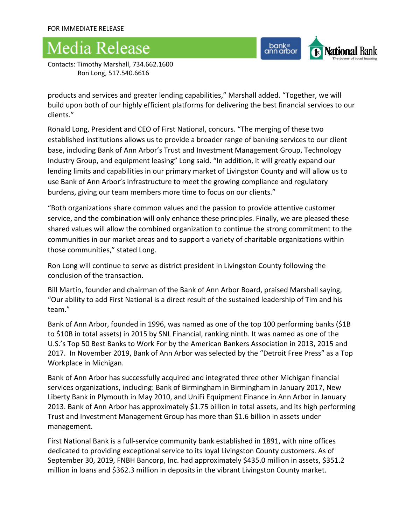# **Media Release**

bank<sup>e</sup><br>ann arbor National Bank

Contacts: Timothy Marshall, 734.662.1600 Ron Long, 517.540.6616

products and services and greater lending capabilities," Marshall added. "Together, we will build upon both of our highly efficient platforms for delivering the best financial services to our clients."

Ronald Long, President and CEO of First National, concurs. "The merging of these two established institutions allows us to provide a broader range of banking services to our client base, including Bank of Ann Arbor's Trust and Investment Management Group, Technology Industry Group, and equipment leasing" Long said. "In addition, it will greatly expand our lending limits and capabilities in our primary market of Livingston County and will allow us to use Bank of Ann Arbor's infrastructure to meet the growing compliance and regulatory burdens, giving our team members more time to focus on our clients."

"Both organizations share common values and the passion to provide attentive customer service, and the combination will only enhance these principles. Finally, we are pleased these shared values will allow the combined organization to continue the strong commitment to the communities in our market areas and to support a variety of charitable organizations within those communities," stated Long.

Ron Long will continue to serve as district president in Livingston County following the conclusion of the transaction.

Bill Martin, founder and chairman of the Bank of Ann Arbor Board, praised Marshall saying, "Our ability to add First National is a direct result of the sustained leadership of Tim and his team."

Bank of Ann Arbor, founded in 1996, was named as one of the top 100 performing banks (\$1B to \$10B in total assets) in 2015 by SNL Financial, ranking ninth. It was named as one of the U.S.'s Top 50 Best Banks to Work For by the American Bankers Association in 2013, 2015 and 2017. In November 2019, Bank of Ann Arbor was selected by the "Detroit Free Press" as a Top Workplace in Michigan.

Bank of Ann Arbor has successfully acquired and integrated three other Michigan financial services organizations, including: Bank of Birmingham in Birmingham in January 2017, New Liberty Bank in Plymouth in May 2010, and UniFi Equipment Finance in Ann Arbor in January 2013. Bank of Ann Arbor has approximately \$1.75 billion in total assets, and its high performing Trust and Investment Management Group has more than \$1.6 billion in assets under management.

First National Bank is a full-service community bank established in 1891, with nine offices dedicated to providing exceptional service to its loyal Livingston County customers. As of September 30, 2019, FNBH Bancorp, Inc. had approximately \$435.0 million in assets, \$351.2 million in loans and \$362.3 million in deposits in the vibrant Livingston County market.